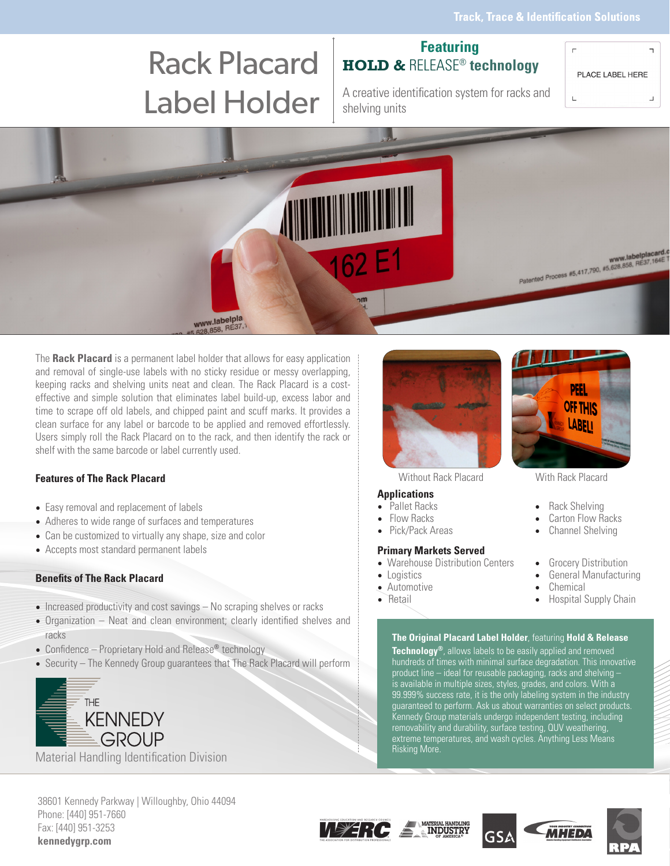# Rack Placard Label Holder A creative identification system for racks and

## **Featuring HOLD &** RELEASE® **technology**

PLACE LABEL HERE



shelving units

The **Rack Placard** is a permanent label holder that allows for easy application and removal of single-use labels with no sticky residue or messy overlapping, keeping racks and shelving units neat and clean. The Rack Placard is a costeffective and simple solution that eliminates label build-up, excess labor and time to scrape off old labels, and chipped paint and scuff marks. It provides a clean surface for any label or barcode to be applied and removed effortlessly. Users simply roll the Rack Placard on to the rack, and then identify the rack or shelf with the same barcode or label currently used.

## **Features of The Rack Placard**

- Easy removal and replacement of labels
- Adheres to wide range of surfaces and temperatures
- Can be customized to virtually any shape, size and color
- Accepts most standard permanent labels

### **Benefits of The Rack Placard**

- Increased productivity and cost savings No scraping shelves or racks
- Organization Neat and clean environment; clearly identified shelves and racks
- Confidence Proprietary Hold and Release**®** technology
- Security The Kennedy Group guarantees that The Rack Placard will perform



Material Handling Identification Division



Without Rack Placard With Rack Placard

## **Applications**

- 
- 
- 

#### **Primary Markets Served**

- Warehouse Distribution Centers Grocery Distribution<br>• Logistics General Manufacturi
- 
- Automotive<br>• Retail
- 

### **The Original Placard Label Holder**, featuring **Hold & Release**

**Technology®**, allows labels to be easily applied and removed hundreds of times with minimal surface degradation. This innovative product line – ideal for reusable packaging, racks and shelving – is available in multiple sizes, styles, grades, and colors. With a 99.999% success rate, it is the only labeling system in the industry guaranteed to perform. Ask us about warranties on select products. Kennedy Group materials undergo independent testing, including removability and durability, surface testing, QUV weathering, extreme temperatures, and wash cycles. Anything Less Means Risking More.

38601 Kennedy Parkway | Willoughby, Ohio 44094 Phone: [440] 951-7660 Fax: [440] 951-3253 **kennedygrp.com**







**OFF THIS** LABFII

- Pallet Racks Rack Shelving
- Flow Racks Carton Flow Racks
	- **Channel Shelving**
	-
	- General Manufacturing<br>Chemical
	-
	- Hospital Supply Chain